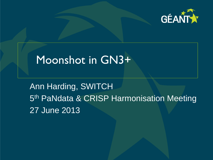

# Moonshot in GN3+

Ann Harding, SWITCH 5<sup>th</sup> PaNdata & CRISP Harmonisation Meeting 27 June 2013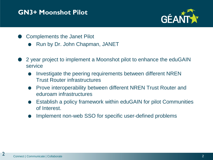### **GN3+ Moonshot Pilot**



- Complements the Janet Pilot
	- Run by Dr. John Chapman, JANET
- 2 year project to implement a Moonshot pilot to enhance the eduGAIN service
	- Investigate the peering requirements between different NREN Trust Router infrastructures
	- Prove interoperability between different NREN Trust Router and eduroam infrastructures
	- Establish a policy framework within eduGAIN for pilot Communities of Interest.
	- Implement non-web SSO for specific user-defined problems

2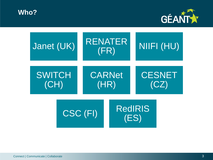**Who?**



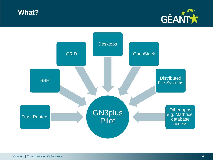



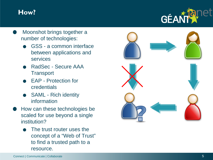### **How?**



- Moonshot brings together a number of technologies:
	- GSS a common interface between applications and services
	- RadSec Secure AAA **Transport**
	- EAP Protection for credentials
	- SAML Rich identity information
- How can these technologies be scaled for use beyond a single institution ?
	- The trust router uses the concept of a "Web of Trust " to find a trusted path to a resource.

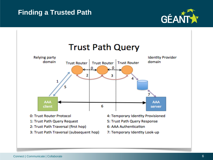# **Finding a Trusted Path**



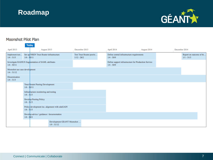### **Roadmap**



#### Moonshot Pilot Plan

Today

| $\sim$<br>April 2013                           |               | August 2013                                         |                                                | December 2013                             |  | April 2014                                                           | August 2014 |  | December 2014 |                                         |
|------------------------------------------------|---------------|-----------------------------------------------------|------------------------------------------------|-------------------------------------------|--|----------------------------------------------------------------------|-------------|--|---------------|-----------------------------------------|
| Implement test<br>$1/4 - 31/5$                 | $1/6 - 30/11$ | Set up NREN Trust Router infrastructure             |                                                | Test Trust Router peerin<br>$1/12 - 28/2$ |  | Define central infrastructure requirements<br>$1/4 - 30/9$           |             |  |               | Report on outcome of th<br>$1/1 - 31/3$ |
| $1/4 - 30/11$                                  |               | Investigate RADIUS fragmentation of SAML attributes |                                                |                                           |  | Define support infrastructure for Production Service<br>$1/4 - 30/9$ |             |  |               |                                         |
| Moonshot use case development<br>$1/4 - 31/12$ |               |                                                     |                                                |                                           |  |                                                                      |             |  |               |                                         |
| Dissemination<br>$1/4 - 31/3$                  |               |                                                     |                                                |                                           |  |                                                                      |             |  |               |                                         |
|                                                | $1/6 - 30/11$ | Trust Router Peering Development                    |                                                |                                           |  |                                                                      |             |  |               |                                         |
| $1/6 - 31/3$                                   |               | Infrastructure monitoring and testing               |                                                |                                           |  |                                                                      |             |  |               |                                         |
|                                                |               | Develop Peering Policy<br>$1/6 - 31/3$              |                                                |                                           |  |                                                                      |             |  |               |                                         |
|                                                | $1/6 - 31/3$  |                                                     | Policy development inc. alignment with eduGAIN |                                           |  |                                                                      |             |  |               |                                         |
|                                                | $1/6 - 28/2$  | Develop advice / guidance / documentation           |                                                |                                           |  |                                                                      |             |  |               |                                         |
|                                                |               |                                                     | Development GEANT Moonshot<br>$1/9 - 31/12$    |                                           |  |                                                                      |             |  |               |                                         |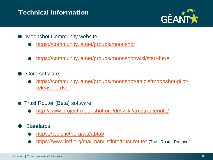# **Technical Information**



- Moonshot Community website:
	- <https://community.ja.net/groups/moonshot>
	- <https://community.ja.net/groups/moonshot/wiki/start-here>
- Core software:
	- [https://community.ja.net/groups/moonshot/article/moonshot-pilot](https://community.ja.net/groups/moonshot/article/moonshot-pilot-release-1-dvd)[release-1-dvd](https://community.ja.net/groups/moonshot/article/moonshot-pilot-release-1-dvd)
- **Trust Router (Beta) software:** 
	- [http://www.project-moonshot.org/devwiki//trustrouterinfo/](http://www.project-moonshot.org/devwiki/trustrouterinfo/)
- Standards:
	- <https://tools.ietf.org/wg/abfab>
	- <https://www.ietf.org/mailman/listinfo/trust-router> (Trust Router Protocol)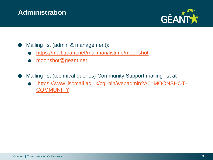# **Administration**



Mailing list (admin & management):

- <https://mail.geant.net/mailman/listinfo/moonshot>
- [moonshot@geant.net](mailto:moonshot@geant.net)

Mailing list (technical queries) Community Support mailing list at

[https://www.jiscmail.ac.uk/cgi-bin/webadmin?A0=MOONSHOT-](https://www.jiscmail.ac.uk/cgi-bin/webadmin?A0=MOONSHOT-COMMUNITY)[COMMUNITY](https://www.jiscmail.ac.uk/cgi-bin/webadmin?A0=MOONSHOT-COMMUNITY)